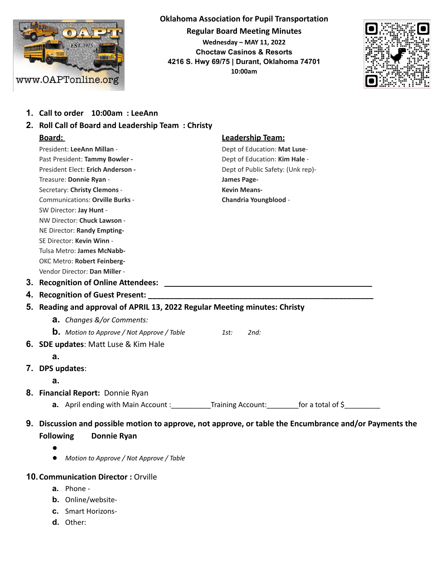

**Oklahoma Association for Pupil Transportation Regular Board Meeting Minutes Wednesday – MAY 11, 2022 Choctaw Casinos & Resorts 4216 S. Hwy 69/75 | Durant, Oklahoma 74701 10:00am**



- **1. Call to order 10:00am : LeeAnn**
- **2. Roll Call of Board and Leadership Team : Christy Board: Leadership Team:** President: LeeAnn Millan - **Dept of Education: Mat Luse**-Past President: **Tammy Bowler -** Dept of Education: **Kim Hale** - **President Elect: Erich Anderson - The Dept of Public Safety: (Unk rep)-**Treasure: **Donnie Ryan** - **James Page-**Secretary: **Christy Clemons** - **Kevin Means-**Communications: **Orville Burks** - **Chandria Youngblood** - SW Director: **Jay Hunt** - NW Director: **Chuck Lawson** - NE Director: **Randy Empting-**SE Director: **Kevin Winn** - Tulsa Metro: **James McNabb-**OKC Metro: **Robert Feinberg-**Vendor Director: **Dan Miller** - **3. Recognition of Online Attendees:** \_\_\_\_\_\_\_\_\_\_\_\_\_\_\_\_\_\_\_\_\_\_\_\_\_\_\_\_\_\_\_\_\_\_\_\_\_\_\_\_\_\_\_\_\_\_\_\_ **4. Recognition of Guest Present: 5. Reading and approval of APRIL 13, 2022 Regular Meeting minutes: Christy a.** *Changes &/or Comments:* **b.** *Motion to Approve / Not Approve / Table 1st: 2nd:* **6. SDE updates**: Matt Luse & Kim Hale **a. 7. DPS updates**: **a. 8. Financial Report:** Donnie Ryan **a.** April ending with Main Account : \_\_\_\_\_\_\_\_\_\_\_\_Training Account: \_\_\_\_\_\_\_ for a total of \$\_\_\_\_\_\_\_\_ **9. Discussion and possible motion to approve, not approve, or table the Encumbrance and/or Payments the Following Donnie Ryan** ● ● *Motion to Approve / Not Approve / Table* **10.Communication Director :** Orville
	- **a.** Phone -
	- **b.** Online/website-
	- **c.** Smart Horizons-
	- **d.** Other: